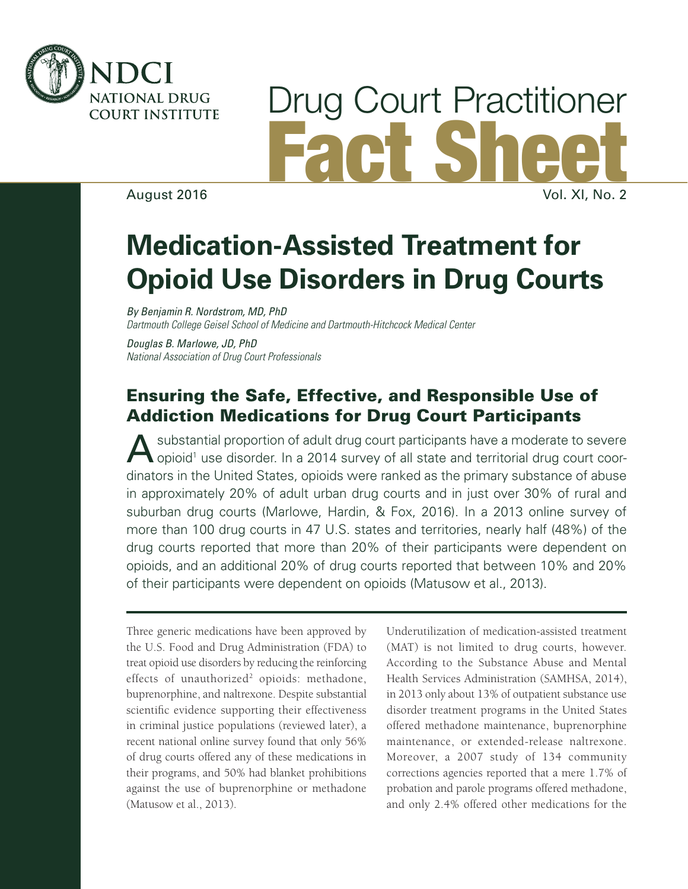

# Drug Court Practitioner Fact Sheet

August 2016

# **Medication-Assisted Treatment for Opioid Use Disorders in Drug Courts**

*By Benjamin R. Nordstrom, MD, PhD Dartmouth College Geisel School of Medicine and Dartmouth-Hitchcock Medical Center*

*Douglas B. Marlowe, JD, PhD National Association of Drug Court Professionals*

### Ensuring the Safe, Effective, and Responsible Use of Addiction Medications for Drug Court Participants

A substantial proportion of adult drug court participants have a moderate to severe<br>
opioid<sup>1</sup> use disorder. In a 2014 survey of all state and territorial drug court coordinators in the United States, opioids were ranked as the primary substance of abuse in approximately 20% of adult urban drug courts and in just over 30% of rural and suburban drug courts (Marlowe, Hardin, & Fox, 2016). In a 2013 online survey of more than 100 drug courts in 47 U.S. states and territories, nearly half (48%) of the drug courts reported that more than 20% of their participants were dependent on opioids, and an additional 20% of drug courts reported that between 10% and 20% of their participants were dependent on opioids (Matusow et al., 2013).

Three generic medications have been approved by the U.S. Food and Drug Administration (FDA) to treat opioid use disorders by reducing the reinforcing effects of unauthorized<sup>2</sup> opioids: methadone, buprenorphine, and naltrexone. Despite substantial scientific evidence supporting their effectiveness in criminal justice populations (reviewed later), a recent national online survey found that only 56% of drug courts offered any of these medications in their programs, and 50% had blanket prohibitions against the use of buprenorphine or methadone (Matusow et al., 2013).

Underutilization of medication-assisted treatment (MAT) is not limited to drug courts, however. According to the Substance Abuse and Mental Health Services Administration (SAMHSA, 2014), in 2013 only about 13% of outpatient substance use disorder treatment programs in the United States offered methadone maintenance, buprenorphine maintenance, or extended-release naltrexone. Moreover, a 2007 study of 134 community corrections agencies reported that a mere 1.7% of probation and parole programs offered methadone, and only 2.4% offered other medications for the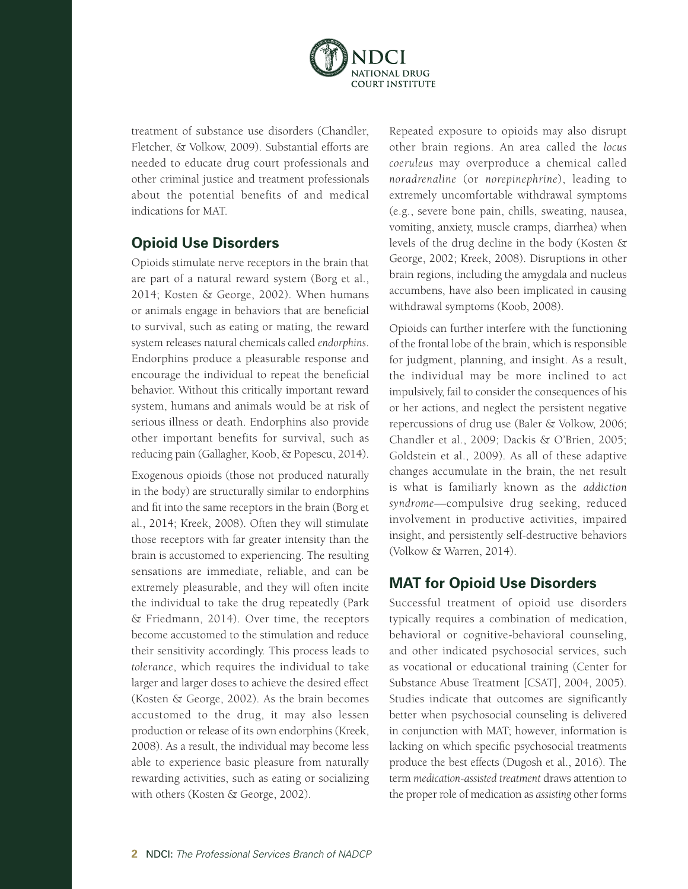

treatment of substance use disorders (Chandler, Fletcher, & Volkow, 2009). Substantial efforts are needed to educate drug court professionals and other criminal justice and treatment professionals about the potential benefits of and medical indications for MAT.

#### **Opioid Use Disorders**

Opioids stimulate nerve receptors in the brain that are part of a natural reward system (Borg et al., 2014; Kosten & George, 2002). When humans or animals engage in behaviors that are beneficial to survival, such as eating or mating, the reward system releases natural chemicals called *endorphins*. Endorphins produce a pleasurable response and encourage the individual to repeat the beneficial behavior. Without this critically important reward system, humans and animals would be at risk of serious illness or death. Endorphins also provide other important benefits for survival, such as reducing pain (Gallagher, Koob, & Popescu, 2014).

Exogenous opioids (those not produced naturally in the body) are structurally similar to endorphins and fit into the same receptors in the brain (Borg et al., 2014; Kreek, 2008). Often they will stimulate those receptors with far greater intensity than the brain is accustomed to experiencing. The resulting sensations are immediate, reliable, and can be extremely pleasurable, and they will often incite the individual to take the drug repeatedly (Park & Friedmann, 2014). Over time, the receptors become accustomed to the stimulation and reduce their sensitivity accordingly. This process leads to *tolerance*, which requires the individual to take larger and larger doses to achieve the desired effect (Kosten & George, 2002). As the brain becomes accustomed to the drug, it may also lessen production or release of its own endorphins (Kreek, 2008). As a result, the individual may become less able to experience basic pleasure from naturally rewarding activities, such as eating or socializing with others (Kosten & George, 2002).

Repeated exposure to opioids may also disrupt other brain regions. An area called the *locus coeruleus* may overproduce a chemical called *noradrenaline* (or *norepinephrine*), leading to extremely uncomfortable withdrawal symptoms (e.g., severe bone pain, chills, sweating, nausea, vomiting, anxiety, muscle cramps, diarrhea) when levels of the drug decline in the body (Kosten & George, 2002; Kreek, 2008). Disruptions in other brain regions, including the amygdala and nucleus accumbens, have also been implicated in causing withdrawal symptoms (Koob, 2008).

Opioids can further interfere with the functioning of the frontal lobe of the brain, which is responsible for judgment, planning, and insight. As a result, the individual may be more inclined to act impulsively, fail to consider the consequences of his or her actions, and neglect the persistent negative repercussions of drug use (Baler & Volkow, 2006; Chandler et al., 2009; Dackis & O'Brien, 2005; Goldstein et al., 2009). As all of these adaptive changes accumulate in the brain, the net result is what is familiarly known as the *addiction syndrome*—compulsive drug seeking, reduced involvement in productive activities, impaired insight, and persistently self-destructive behaviors (Volkow & Warren, 2014).

#### **MAT for Opioid Use Disorders**

Successful treatment of opioid use disorders typically requires a combination of medication, behavioral or cognitive-behavioral counseling, and other indicated psychosocial services, such as vocational or educational training (Center for Substance Abuse Treatment [CSAT], 2004, 2005). Studies indicate that outcomes are significantly better when psychosocial counseling is delivered in conjunction with MAT; however, information is lacking on which specific psychosocial treatments produce the best effects (Dugosh et al., 2016). The term *medication-assisted treatment* draws attention to the proper role of medication as *assisting* other forms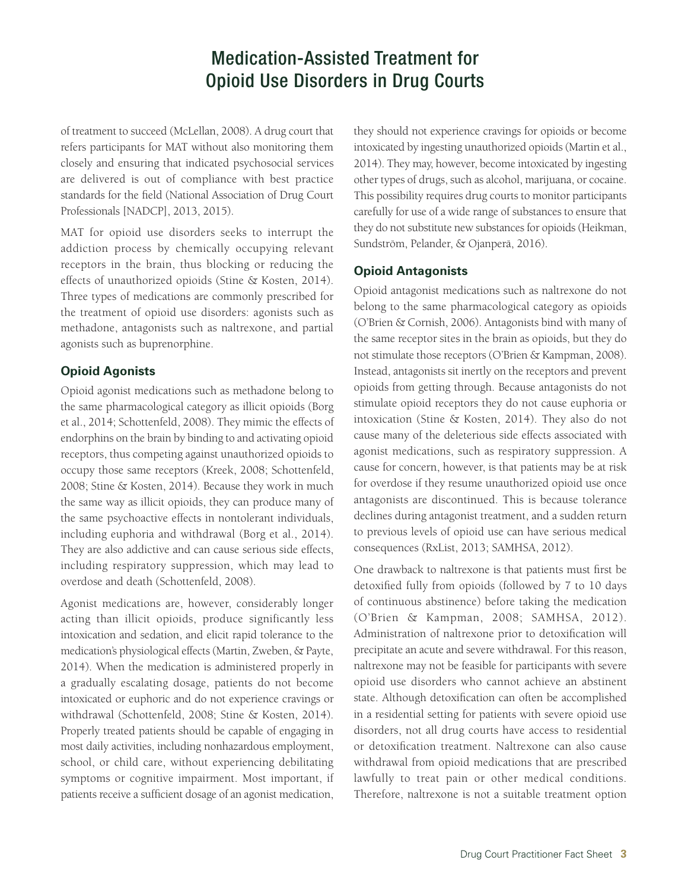of treatment to succeed (McLellan, 2008). A drug court that refers participants for MAT without also monitoring them closely and ensuring that indicated psychosocial services are delivered is out of compliance with best practice standards for the field (National Association of Drug Court Professionals [NADCP], 2013, 2015).

MAT for opioid use disorders seeks to interrupt the addiction process by chemically occupying relevant receptors in the brain, thus blocking or reducing the effects of unauthorized opioids (Stine & Kosten, 2014). Three types of medications are commonly prescribed for the treatment of opioid use disorders: agonists such as methadone, antagonists such as naltrexone, and partial agonists such as buprenorphine.

#### **Opioid Agonists**

Opioid agonist medications such as methadone belong to the same pharmacological category as illicit opioids (Borg et al., 2014; Schottenfeld, 2008). They mimic the effects of endorphins on the brain by binding to and activating opioid receptors, thus competing against unauthorized opioids to occupy those same receptors (Kreek, 2008; Schottenfeld, 2008; Stine & Kosten, 2014). Because they work in much the same way as illicit opioids, they can produce many of the same psychoactive effects in nontolerant individuals, including euphoria and withdrawal (Borg et al., 2014). They are also addictive and can cause serious side effects, including respiratory suppression, which may lead to overdose and death (Schottenfeld, 2008).

Agonist medications are, however, considerably longer acting than illicit opioids, produce significantly less intoxication and sedation, and elicit rapid tolerance to the medication's physiological effects (Martin, Zweben, & Payte, 2014). When the medication is administered properly in a gradually escalating dosage, patients do not become intoxicated or euphoric and do not experience cravings or withdrawal (Schottenfeld, 2008; Stine & Kosten, 2014). Properly treated patients should be capable of engaging in most daily activities, including nonhazardous employment, school, or child care, without experiencing debilitating symptoms or cognitive impairment. Most important, if patients receive a sufficient dosage of an agonist medication,

they should not experience cravings for opioids or become intoxicated by ingesting unauthorized opioids (Martin et al., 2014). They may, however, become intoxicated by ingesting other types of drugs, such as alcohol, marijuana, or cocaine. This possibility requires drug courts to monitor participants carefully for use of a wide range of substances to ensure that they do not substitute new substances for opioids (Heikman, Sundström, Pelander, & Ojanperä, 2016).

#### **Opioid Antagonists**

Opioid antagonist medications such as naltrexone do not belong to the same pharmacological category as opioids (O'Brien & Cornish, 2006). Antagonists bind with many of the same receptor sites in the brain as opioids, but they do not stimulate those receptors (O'Brien & Kampman, 2008). Instead, antagonists sit inertly on the receptors and prevent opioids from getting through. Because antagonists do not stimulate opioid receptors they do not cause euphoria or intoxication (Stine & Kosten, 2014). They also do not cause many of the deleterious side effects associated with agonist medications, such as respiratory suppression. A cause for concern, however, is that patients may be at risk for overdose if they resume unauthorized opioid use once antagonists are discontinued. This is because tolerance declines during antagonist treatment, and a sudden return to previous levels of opioid use can have serious medical consequences (RxList, 2013; SAMHSA, 2012).

One drawback to naltrexone is that patients must first be detoxified fully from opioids (followed by 7 to 10 days of continuous abstinence) before taking the medication (O'Brien & Kampman, 2008; SAMHSA, 2012). Administration of naltrexone prior to detoxification will precipitate an acute and severe withdrawal. For this reason, naltrexone may not be feasible for participants with severe opioid use disorders who cannot achieve an abstinent state. Although detoxification can often be accomplished in a residential setting for patients with severe opioid use disorders, not all drug courts have access to residential or detoxification treatment. Naltrexone can also cause withdrawal from opioid medications that are prescribed lawfully to treat pain or other medical conditions. Therefore, naltrexone is not a suitable treatment option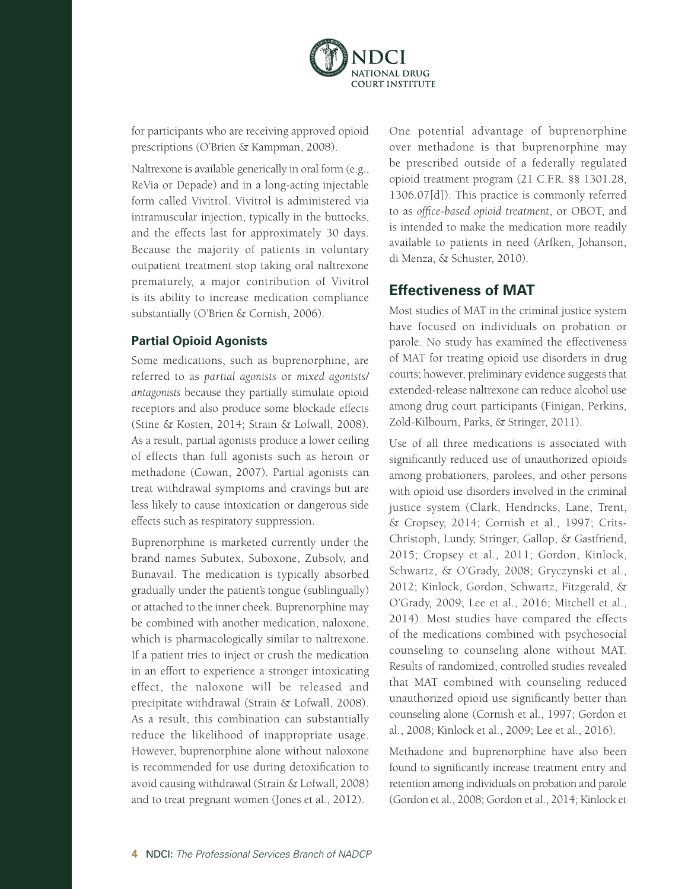

for participants who are receiving approved opioid prescriptions (O'Brien & Kampman, 2008).

Naltrexone is available generically in oral form (e.g., ReVia or Depade) and in a long-acting injectable form called Vivitrol. Vivitrol is administered via intramuscular injection, typically in the buttocks, and the effects last for approximately 30 days. Because the majority of patients in voluntary outpatient treatment stop taking oral naltrexone prematurely, a major contribution of Vivitrol is its ability to increase medication compliance substantially (O'Brien & Cornish, 2006).

#### **Partial Opioid Agonists**

Some medications, such as buprenorphine, are referred to as *partial agonists* or *mixed agonists/ antagonists* because they partially stimulate opioid receptors and also produce some blockade effects (Stine & Kosten, 2014; Strain & Lofwall, 2008). As a result, partial agonists produce a lower ceiling of effects than full agonists such as heroin or methadone (Cowan, 2007). Partial agonists can treat withdrawal symptoms and cravings but are less likely to cause intoxication or dangerous side effects such as respiratory suppression.

Buprenorphine is marketed currently under the brand names Subutex, Suboxone, Zubsolv, and Bunavail. The medication is typically absorbed gradually under the patient's tongue (sublingually) or attached to the inner cheek. Buprenorphine may be combined with another medication, naloxone, which is pharmacologically similar to naltrexone. If a patient tries to inject or crush the medication in an effort to experience a stronger intoxicating effect, the naloxone will be released and precipitate withdrawal (Strain & Lofwall, 2008). As a result, this combination can substantially reduce the likelihood of inappropriate usage. However, buprenorphine alone without naloxone is recommended for use during detoxification to avoid causing withdrawal (Strain & Lofwall, 2008) and to treat pregnant women (Jones et al., 2012).

One potential advantage of buprenorphine over methadone is that buprenorphine may be prescribed outside of a federally regulated opioid treatment program (21 C.F.R. §§ 1301.28, 1306.07[d]). This practice is commonly referred to as *office-based opioid treatment*, or OBOT, and is intended to make the medication more readily available to patients in need (Arfken, Johanson, di Menza, & Schuster, 2010).

#### **Effectiveness of MAT**

Most studies of MAT in the criminal justice system have focused on individuals on probation or parole. No study has examined the effectiveness of MAT for treating opioid use disorders in drug courts; however, preliminary evidence suggests that extended-release naltrexone can reduce alcohol use among drug court participants (Finigan, Perkins, Zold-Kilbourn, Parks, & Stringer, 2011).

Use of all three medications is associated with significantly reduced use of unauthorized opioids among probationers, parolees, and other persons with opioid use disorders involved in the criminal justice system (Clark, Hendricks, Lane, Trent, & Cropsey, 2014; Cornish et al., 1997; Crits-Christoph, Lundy, Stringer, Gallop, & Gastfriend, 2015; Cropsey et al., 2011; Gordon, Kinlock, Schwartz, & O'Grady, 2008; Gryczynski et al., 2012; Kinlock, Gordon, Schwartz, Fitzgerald, & O'Grady, 2009; Lee et al., 2016; Mitchell et al., 2014). Most studies have compared the effects of the medications combined with psychosocial counseling to counseling alone without MAT. Results of randomized, controlled studies revealed that MAT combined with counseling reduced unauthorized opioid use significantly better than counseling alone (Cornish et al., 1997; Gordon et al., 2008; Kinlock et al., 2009; Lee et al., 2016).

Methadone and buprenorphine have also been found to significantly increase treatment entry and retention among individuals on probation and parole (Gordon et al., 2008; Gordon et al., 2014; Kinlock et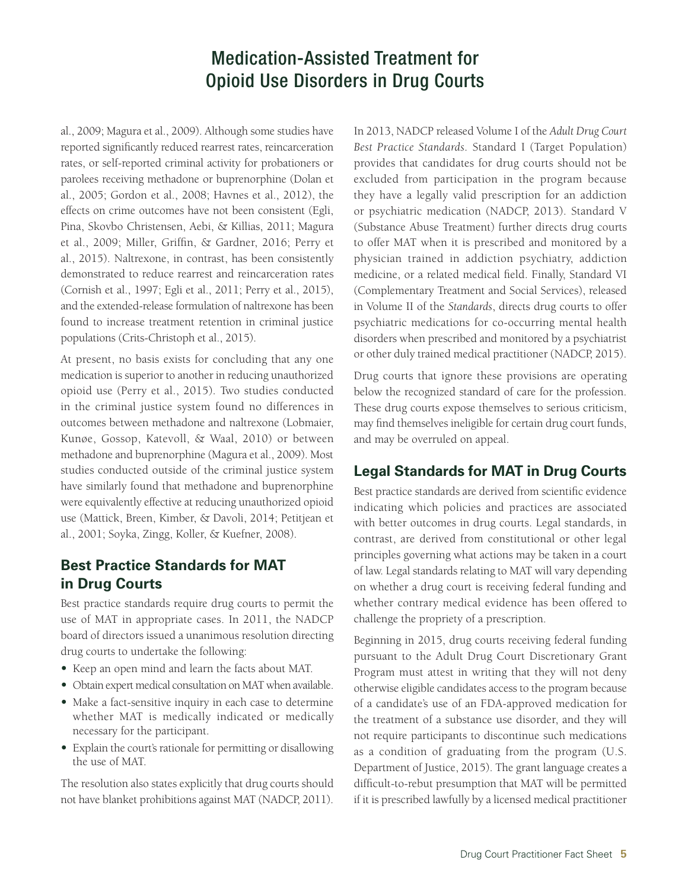al., 2009; Magura et al., 2009). Although some studies have reported significantly reduced rearrest rates, reincarceration rates, or self-reported criminal activity for probationers or parolees receiving methadone or buprenorphine (Dolan et al., 2005; Gordon et al., 2008; Havnes et al., 2012), the effects on crime outcomes have not been consistent (Egli, Pina, Skovbo Christensen, Aebi, & Killias, 2011; Magura et al., 2009; Miller, Griffin, & Gardner, 2016; Perry et al., 2015). Naltrexone, in contrast, has been consistently demonstrated to reduce rearrest and reincarceration rates (Cornish et al., 1997; Egli et al., 2011; Perry et al., 2015), and the extended-release formulation of naltrexone has been found to increase treatment retention in criminal justice populations (Crits-Christoph et al., 2015).

At present, no basis exists for concluding that any one medication is superior to another in reducing unauthorized opioid use (Perry et al., 2015). Two studies conducted in the criminal justice system found no differences in outcomes between methadone and naltrexone (Lobmaier, Kunøe, Gossop, Katevoll, & Waal, 2010) or between methadone and buprenorphine (Magura et al., 2009). Most studies conducted outside of the criminal justice system have similarly found that methadone and buprenorphine were equivalently effective at reducing unauthorized opioid use (Mattick, Breen, Kimber, & Davoli, 2014; Petitjean et al., 2001; Soyka, Zingg, Koller, & Kuefner, 2008).

#### **Best Practice Standards for MAT in Drug Courts**

Best practice standards require drug courts to permit the use of MAT in appropriate cases. In 2011, the NADCP board of directors issued a unanimous resolution directing drug courts to undertake the following:

- **•**  Keep an open mind and learn the facts about MAT.
- **•**  Obtain expert medical consultation on MAT when available.
- **•**  Make a fact-sensitive inquiry in each case to determine whether MAT is medically indicated or medically necessary for the participant.
- **•**  Explain the court's rationale for permitting or disallowing the use of MAT.

The resolution also states explicitly that drug courts should not have blanket prohibitions against MAT (NADCP, 2011). In 2013, NADCP released Volume I of the *Adult Drug Court Best Practice Standards*. Standard I (Target Population) provides that candidates for drug courts should not be excluded from participation in the program because they have a legally valid prescription for an addiction or psychiatric medication (NADCP, 2013). Standard V (Substance Abuse Treatment) further directs drug courts to offer MAT when it is prescribed and monitored by a physician trained in addiction psychiatry, addiction medicine, or a related medical field. Finally, Standard VI (Complementary Treatment and Social Services), released in Volume II of the *Standards*, directs drug courts to offer psychiatric medications for co-occurring mental health disorders when prescribed and monitored by a psychiatrist or other duly trained medical practitioner (NADCP, 2015).

Drug courts that ignore these provisions are operating below the recognized standard of care for the profession. These drug courts expose themselves to serious criticism, may find themselves ineligible for certain drug court funds, and may be overruled on appeal.

#### **Legal Standards for MAT in Drug Courts**

Best practice standards are derived from scientific evidence indicating which policies and practices are associated with better outcomes in drug courts. Legal standards, in contrast, are derived from constitutional or other legal principles governing what actions may be taken in a court of law. Legal standards relating to MAT will vary depending on whether a drug court is receiving federal funding and whether contrary medical evidence has been offered to challenge the propriety of a prescription.

Beginning in 2015, drug courts receiving federal funding pursuant to the Adult Drug Court Discretionary Grant Program must attest in writing that they will not deny otherwise eligible candidates access to the program because of a candidate's use of an FDA-approved medication for the treatment of a substance use disorder, and they will not require participants to discontinue such medications as a condition of graduating from the program (U.S. Department of Justice, 2015). The grant language creates a difficult-to-rebut presumption that MAT will be permitted if it is prescribed lawfully by a licensed medical practitioner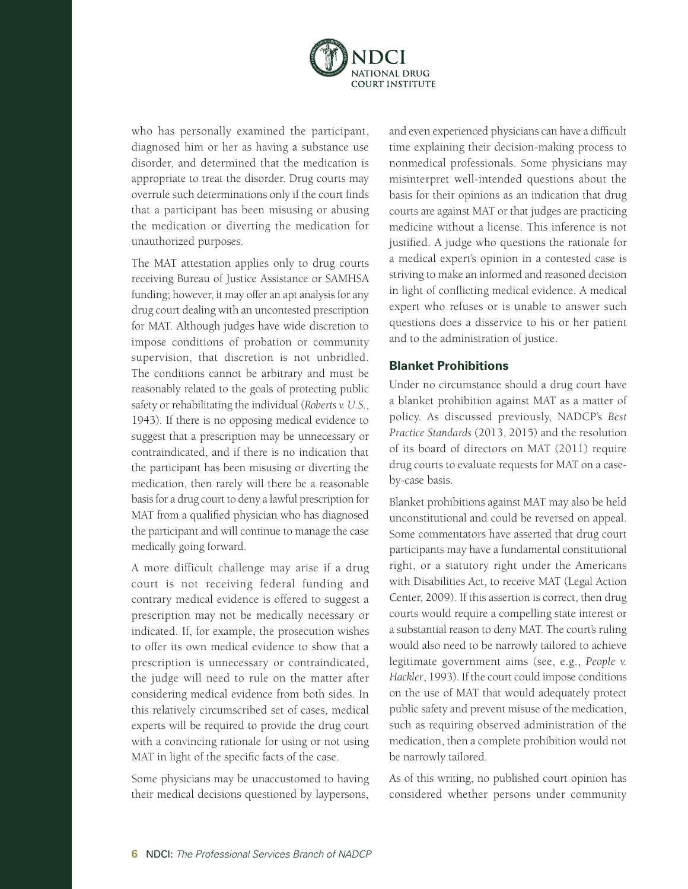

who has personally examined the participant, diagnosed him or her as having a substance use disorder, and determined that the medication is appropriate to treat the disorder. Drug courts may overrule such determinations only if the court finds that a participant has been misusing or abusing the medication or diverting the medication for unauthorized purposes.

The MAT attestation applies only to drug courts receiving Bureau of Justice Assistance or SAMHSA funding; however, it may offer an apt analysis for any drug court dealing with an uncontested prescription for MAT. Although judges have wide discretion to impose conditions of probation or community supervision, that discretion is not unbridled. The conditions cannot be arbitrary and must be reasonably related to the goals of protecting public safety or rehabilitating the individual (*Roberts v. U.S.*, 1943). If there is no opposing medical evidence to suggest that a prescription may be unnecessary or contraindicated, and if there is no indication that the participant has been misusing or diverting the medication, then rarely will there be a reasonable basis for a drug court to deny a lawful prescription for MAT from a qualified physician who has diagnosed the participant and will continue to manage the case medically going forward.

A more difficult challenge may arise if a drug court is not receiving federal funding and contrary medical evidence is offered to suggest a prescription may not be medically necessary or indicated. If, for example, the prosecution wishes to offer its own medical evidence to show that a prescription is unnecessary or contraindicated, the judge will need to rule on the matter after considering medical evidence from both sides. In this relatively circumscribed set of cases, medical experts will be required to provide the drug court with a convincing rationale for using or not using MAT in light of the specific facts of the case.

Some physicians may be unaccustomed to having their medical decisions questioned by laypersons, and even experienced physicians can have a difficult time explaining their decision-making process to nonmedical professionals. Some physicians may misinterpret well-intended questions about the basis for their opinions as an indication that drug courts are against MAT or that judges are practicing medicine without a license. This inference is not justified. A judge who questions the rationale for a medical expert's opinion in a contested case is striving to make an informed and reasoned decision in light of conflicting medical evidence. A medical expert who refuses or is unable to answer such questions does a disservice to his or her patient and to the administration of justice.

#### **Blanket Prohibitions**

Under no circumstance should a drug court have a blanket prohibition against MAT as a matter of policy. As discussed previously, NADCP's *Best Practice Standards* (2013, 2015) and the resolution of its board of directors on MAT (2011) require drug courts to evaluate requests for MAT on a caseby-case basis.

Blanket prohibitions against MAT may also be held unconstitutional and could be reversed on appeal. Some commentators have asserted that drug court participants may have a fundamental constitutional right, or a statutory right under the Americans with Disabilities Act, to receive MAT (Legal Action Center, 2009). If this assertion is correct, then drug courts would require a compelling state interest or a substantial reason to deny MAT. The court's ruling would also need to be narrowly tailored to achieve legitimate government aims (see, e.g., *People v. Hackler*, 1993). If the court could impose conditions on the use of MAT that would adequately protect public safety and prevent misuse of the medication, such as requiring observed administration of the medication, then a complete prohibition would not be narrowly tailored.

As of this writing, no published court opinion has considered whether persons under community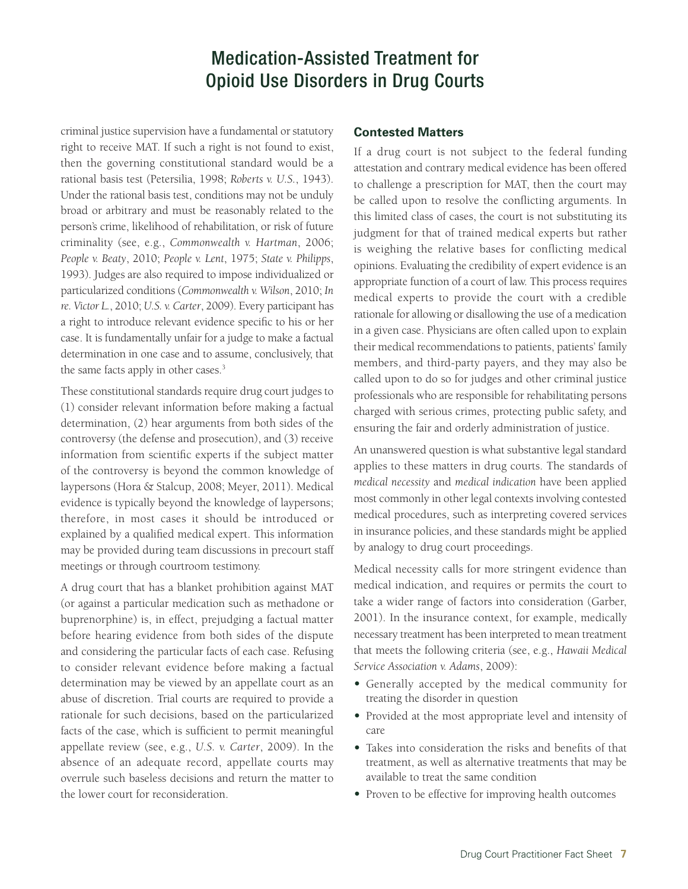criminal justice supervision have a fundamental or statutory right to receive MAT. If such a right is not found to exist, then the governing constitutional standard would be a rational basis test (Petersilia, 1998; *Roberts v. U.S.*, 1943). Under the rational basis test, conditions may not be unduly broad or arbitrary and must be reasonably related to the person's crime, likelihood of rehabilitation, or risk of future criminality (see, e.g., *Commonwealth v. Hartman*, 2006; *People v. Beaty*, 2010; *People v. Lent*, 1975; *State v. Philipps*, 1993). Judges are also required to impose individualized or particularized conditions (*Commonwealth v. Wilson*, 2010; *In re. Victor L.*, 2010; *U.S. v. Carter*, 2009). Every participant has a right to introduce relevant evidence specific to his or her case. It is fundamentally unfair for a judge to make a factual determination in one case and to assume, conclusively, that the same facts apply in other cases.<sup>3</sup>

These constitutional standards require drug court judges to (1) consider relevant information before making a factual determination, (2) hear arguments from both sides of the controversy (the defense and prosecution), and (3) receive information from scientific experts if the subject matter of the controversy is beyond the common knowledge of laypersons (Hora & Stalcup, 2008; Meyer, 2011). Medical evidence is typically beyond the knowledge of laypersons; therefore, in most cases it should be introduced or explained by a qualified medical expert. This information may be provided during team discussions in precourt staff meetings or through courtroom testimony.

A drug court that has a blanket prohibition against MAT (or against a particular medication such as methadone or buprenorphine) is, in effect, prejudging a factual matter before hearing evidence from both sides of the dispute and considering the particular facts of each case. Refusing to consider relevant evidence before making a factual determination may be viewed by an appellate court as an abuse of discretion. Trial courts are required to provide a rationale for such decisions, based on the particularized facts of the case, which is sufficient to permit meaningful appellate review (see, e.g., *U.S. v. Carter*, 2009). In the absence of an adequate record, appellate courts may overrule such baseless decisions and return the matter to the lower court for reconsideration.

#### **Contested Matters**

If a drug court is not subject to the federal funding attestation and contrary medical evidence has been offered to challenge a prescription for MAT, then the court may be called upon to resolve the conflicting arguments. In this limited class of cases, the court is not substituting its judgment for that of trained medical experts but rather is weighing the relative bases for conflicting medical opinions. Evaluating the credibility of expert evidence is an appropriate function of a court of law. This process requires medical experts to provide the court with a credible rationale for allowing or disallowing the use of a medication in a given case. Physicians are often called upon to explain their medical recommendations to patients, patients' family members, and third-party payers, and they may also be called upon to do so for judges and other criminal justice professionals who are responsible for rehabilitating persons charged with serious crimes, protecting public safety, and ensuring the fair and orderly administration of justice.

An unanswered question is what substantive legal standard applies to these matters in drug courts. The standards of *medical necessity* and *medical indication* have been applied most commonly in other legal contexts involving contested medical procedures, such as interpreting covered services in insurance policies, and these standards might be applied by analogy to drug court proceedings.

Medical necessity calls for more stringent evidence than medical indication, and requires or permits the court to take a wider range of factors into consideration (Garber, 2001). In the insurance context, for example, medically necessary treatment has been interpreted to mean treatment that meets the following criteria (see, e.g., *Hawaii Medical Service Association v. Adams*, 2009):

- **•**  Generally accepted by the medical community for treating the disorder in question
- **•**  Provided at the most appropriate level and intensity of care
- **•**  Takes into consideration the risks and benefits of that treatment, as well as alternative treatments that may be available to treat the same condition
- **•**  Proven to be effective for improving health outcomes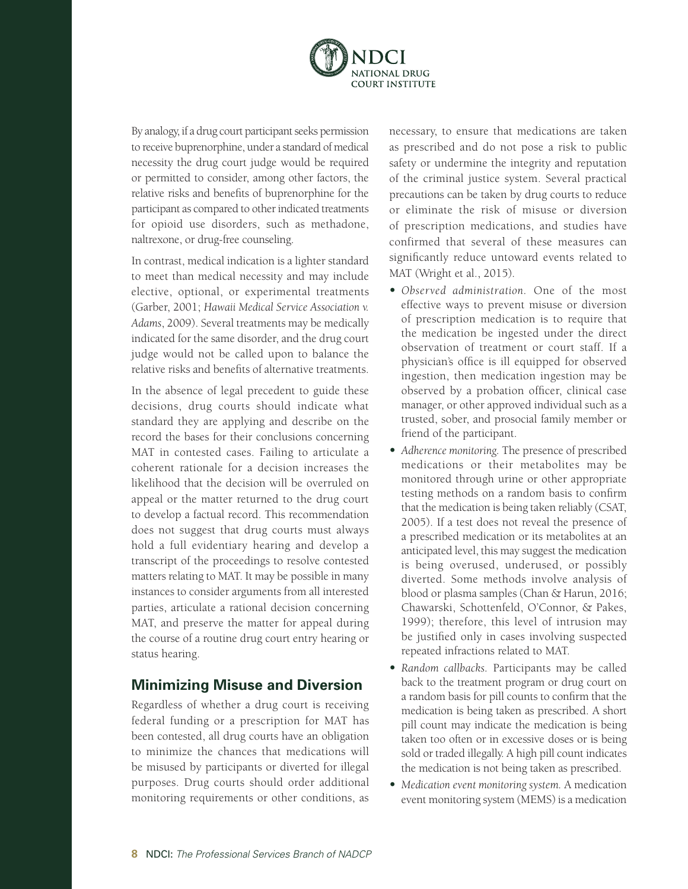

By analogy, if a drug court participant seeks permission to receive buprenorphine, under a standard of medical necessity the drug court judge would be required or permitted to consider, among other factors, the relative risks and benefits of buprenorphine for the participant as compared to other indicated treatments for opioid use disorders, such as methadone, naltrexone, or drug-free counseling.

In contrast, medical indication is a lighter standard to meet than medical necessity and may include elective, optional, or experimental treatments (Garber, 2001; *Hawaii Medical Service Association v. Adams*, 2009). Several treatments may be medically indicated for the same disorder, and the drug court judge would not be called upon to balance the relative risks and benefits of alternative treatments.

In the absence of legal precedent to guide these decisions, drug courts should indicate what standard they are applying and describe on the record the bases for their conclusions concerning MAT in contested cases. Failing to articulate a coherent rationale for a decision increases the likelihood that the decision will be overruled on appeal or the matter returned to the drug court to develop a factual record. This recommendation does not suggest that drug courts must always hold a full evidentiary hearing and develop a transcript of the proceedings to resolve contested matters relating to MAT. It may be possible in many instances to consider arguments from all interested parties, articulate a rational decision concerning MAT, and preserve the matter for appeal during the course of a routine drug court entry hearing or status hearing.

#### **Minimizing Misuse and Diversion**

Regardless of whether a drug court is receiving federal funding or a prescription for MAT has been contested, all drug courts have an obligation to minimize the chances that medications will be misused by participants or diverted for illegal purposes. Drug courts should order additional monitoring requirements or other conditions, as necessary, to ensure that medications are taken as prescribed and do not pose a risk to public safety or undermine the integrity and reputation of the criminal justice system. Several practical precautions can be taken by drug courts to reduce or eliminate the risk of misuse or diversion of prescription medications, and studies have confirmed that several of these measures can significantly reduce untoward events related to MAT (Wright et al., 2015).

- **•**  *Observed administration.* One of the most effective ways to prevent misuse or diversion of prescription medication is to require that the medication be ingested under the direct observation of treatment or court staff. If a physician's office is ill equipped for observed ingestion, then medication ingestion may be observed by a probation officer, clinical case manager, or other approved individual such as a trusted, sober, and prosocial family member or friend of the participant.
- **•**  *Adherence monitoring.* The presence of prescribed medications or their metabolites may be monitored through urine or other appropriate testing methods on a random basis to confirm that the medication is being taken reliably (CSAT, 2005). If a test does not reveal the presence of a prescribed medication or its metabolites at an anticipated level, this may suggest the medication is being overused, underused, or possibly diverted. Some methods involve analysis of blood or plasma samples (Chan & Harun, 2016; Chawarski, Schottenfeld, O'Connor, & Pakes, 1999); therefore, this level of intrusion may be justified only in cases involving suspected repeated infractions related to MAT.
- **•**  *Random callbacks.* Participants may be called back to the treatment program or drug court on a random basis for pill counts to confirm that the medication is being taken as prescribed. A short pill count may indicate the medication is being taken too often or in excessive doses or is being sold or traded illegally. A high pill count indicates the medication is not being taken as prescribed.
- **•**  *Medication event monitoring system.* A medication event monitoring system (MEMS) is a medication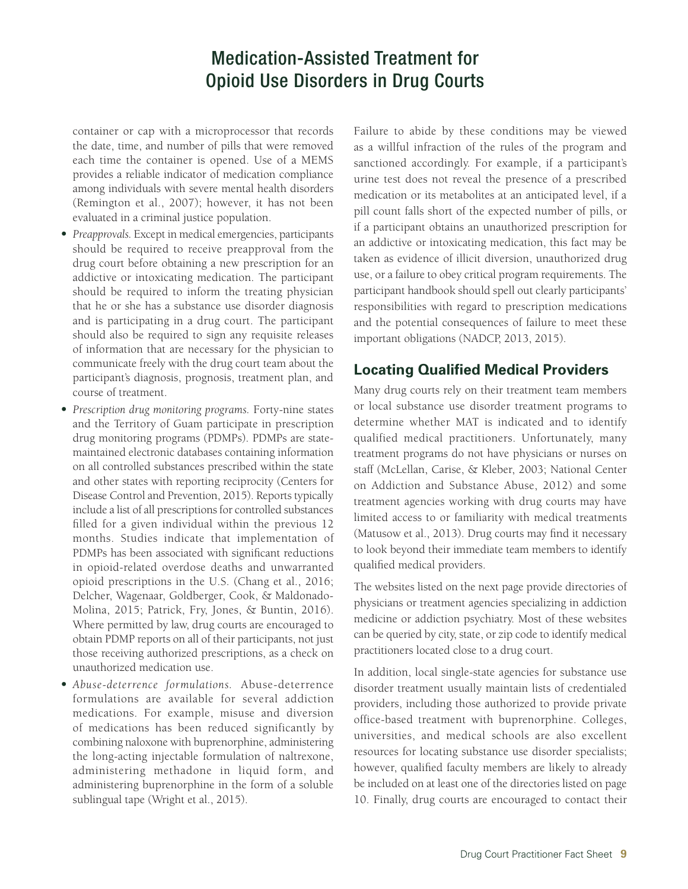container or cap with a microprocessor that records the date, time, and number of pills that were removed each time the container is opened. Use of a MEMS provides a reliable indicator of medication compliance among individuals with severe mental health disorders (Remington et al., 2007); however, it has not been evaluated in a criminal justice population.

- **•**  *Preapprovals.* Except in medical emergencies, participants should be required to receive preapproval from the drug court before obtaining a new prescription for an addictive or intoxicating medication. The participant should be required to inform the treating physician that he or she has a substance use disorder diagnosis and is participating in a drug court. The participant should also be required to sign any requisite releases of information that are necessary for the physician to communicate freely with the drug court team about the participant's diagnosis, prognosis, treatment plan, and course of treatment.
- **•**  *Prescription drug monitoring programs.* Forty-nine states and the Territory of Guam participate in prescription drug monitoring programs (PDMPs). PDMPs are statemaintained electronic databases containing information on all controlled substances prescribed within the state and other states with reporting reciprocity (Centers for Disease Control and Prevention, 2015). Reports typically include a list of all prescriptions for controlled substances filled for a given individual within the previous 12 months. Studies indicate that implementation of PDMPs has been associated with significant reductions in opioid-related overdose deaths and unwarranted opioid prescriptions in the U.S. (Chang et al., 2016; Delcher, Wagenaar, Goldberger, Cook, & Maldonado-Molina, 2015; Patrick, Fry, Jones, & Buntin, 2016). Where permitted by law, drug courts are encouraged to obtain PDMP reports on all of their participants, not just those receiving authorized prescriptions, as a check on unauthorized medication use.
- **•**  *Abuse-deterrence formulations.* Abuse-deterrence formulations are available for several addiction medications. For example, misuse and diversion of medications has been reduced significantly by combining naloxone with buprenorphine, administering the long-acting injectable formulation of naltrexone, administering methadone in liquid form, and administering buprenorphine in the form of a soluble sublingual tape (Wright et al., 2015).

Failure to abide by these conditions may be viewed as a willful infraction of the rules of the program and sanctioned accordingly. For example, if a participant's urine test does not reveal the presence of a prescribed medication or its metabolites at an anticipated level, if a pill count falls short of the expected number of pills, or if a participant obtains an unauthorized prescription for an addictive or intoxicating medication, this fact may be taken as evidence of illicit diversion, unauthorized drug use, or a failure to obey critical program requirements. The participant handbook should spell out clearly participants' responsibilities with regard to prescription medications and the potential consequences of failure to meet these important obligations (NADCP, 2013, 2015).

#### **Locating Qualified Medical Providers**

Many drug courts rely on their treatment team members or local substance use disorder treatment programs to determine whether MAT is indicated and to identify qualified medical practitioners. Unfortunately, many treatment programs do not have physicians or nurses on staff (McLellan, Carise, & Kleber, 2003; National Center on Addiction and Substance Abuse, 2012) and some treatment agencies working with drug courts may have limited access to or familiarity with medical treatments (Matusow et al., 2013). Drug courts may find it necessary to look beyond their immediate team members to identify qualified medical providers.

The websites listed on the next page provide directories of physicians or treatment agencies specializing in addiction medicine or addiction psychiatry. Most of these websites can be queried by city, state, or zip code to identify medical practitioners located close to a drug court.

In addition, local single-state agencies for substance use disorder treatment usually maintain lists of credentialed providers, including those authorized to provide private office-based treatment with buprenorphine. Colleges, universities, and medical schools are also excellent resources for locating substance use disorder specialists; however, qualified faculty members are likely to already be included on at least one of the directories listed on page 10. Finally, drug courts are encouraged to contact their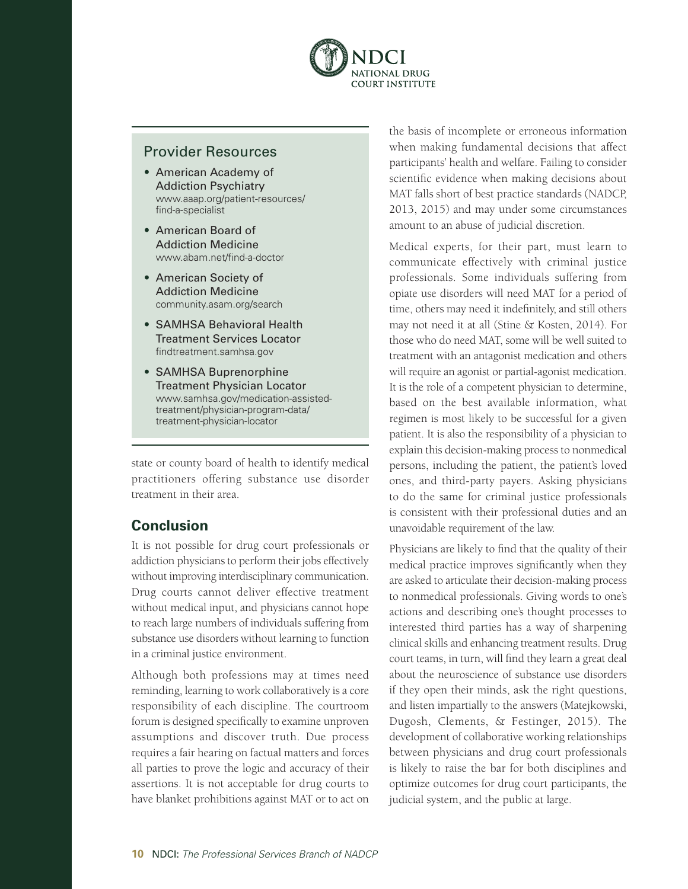

#### Provider Resources

- **•**  American Academy of Addiction Psychiatry [www.aaap.org/patient-resources/](http://www.aaap.org/patient-resources/find-a-specialist/) [find-a-specialist](http://www.aaap.org/patient-resources/find-a-specialist/)
- **•**  American Board of Addiction Medicine [www.abam.net/find-a-doctor](http://www.abam.net/find-a-doctor/)
- **•**  American Society of Addiction Medicine [community.asam.org/search](http://community.asam.org/search/)
- **•**  SAMHSA Behavioral Health Treatment Services Locator <findtreatment.samhsa.gov>
- **•**  SAMHSA Buprenorphine Treatment Physician Locator [www.samhsa.gov/medication-assisted](http://www.samhsa.gov/medication-assisted-treatment/physician-program-data/treatment-physician-locator)[treatment/physician-program-data/](http://www.samhsa.gov/medication-assisted-treatment/physician-program-data/treatment-physician-locator) [treatment-physician-locator](http://www.samhsa.gov/medication-assisted-treatment/physician-program-data/treatment-physician-locator)

state or county board of health to identify medical practitioners offering substance use disorder treatment in their area.

#### **Conclusion**

It is not possible for drug court professionals or addiction physicians to perform their jobs effectively without improving interdisciplinary communication. Drug courts cannot deliver effective treatment without medical input, and physicians cannot hope to reach large numbers of individuals suffering from substance use disorders without learning to function in a criminal justice environment.

Although both professions may at times need reminding, learning to work collaboratively is a core responsibility of each discipline. The courtroom forum is designed specifically to examine unproven assumptions and discover truth. Due process requires a fair hearing on factual matters and forces all parties to prove the logic and accuracy of their assertions. It is not acceptable for drug courts to have blanket prohibitions against MAT or to act on

the basis of incomplete or erroneous information when making fundamental decisions that affect participants' health and welfare. Failing to consider scientific evidence when making decisions about MAT falls short of best practice standards (NADCP, 2013, 2015) and may under some circumstances amount to an abuse of judicial discretion.

Medical experts, for their part, must learn to communicate effectively with criminal justice professionals. Some individuals suffering from opiate use disorders will need MAT for a period of time, others may need it indefinitely, and still others may not need it at all (Stine & Kosten, 2014). For those who do need MAT, some will be well suited to treatment with an antagonist medication and others will require an agonist or partial-agonist medication. It is the role of a competent physician to determine, based on the best available information, what regimen is most likely to be successful for a given patient. It is also the responsibility of a physician to explain this decision-making process to nonmedical persons, including the patient, the patient's loved ones, and third-party payers. Asking physicians to do the same for criminal justice professionals is consistent with their professional duties and an unavoidable requirement of the law.

Physicians are likely to find that the quality of their medical practice improves significantly when they are asked to articulate their decision-making process to nonmedical professionals. Giving words to one's actions and describing one's thought processes to interested third parties has a way of sharpening clinical skills and enhancing treatment results. Drug court teams, in turn, will find they learn a great deal about the neuroscience of substance use disorders if they open their minds, ask the right questions, and listen impartially to the answers (Matejkowski, Dugosh, Clements, & Festinger, 2015). The development of collaborative working relationships between physicians and drug court professionals is likely to raise the bar for both disciplines and optimize outcomes for drug court participants, the judicial system, and the public at large.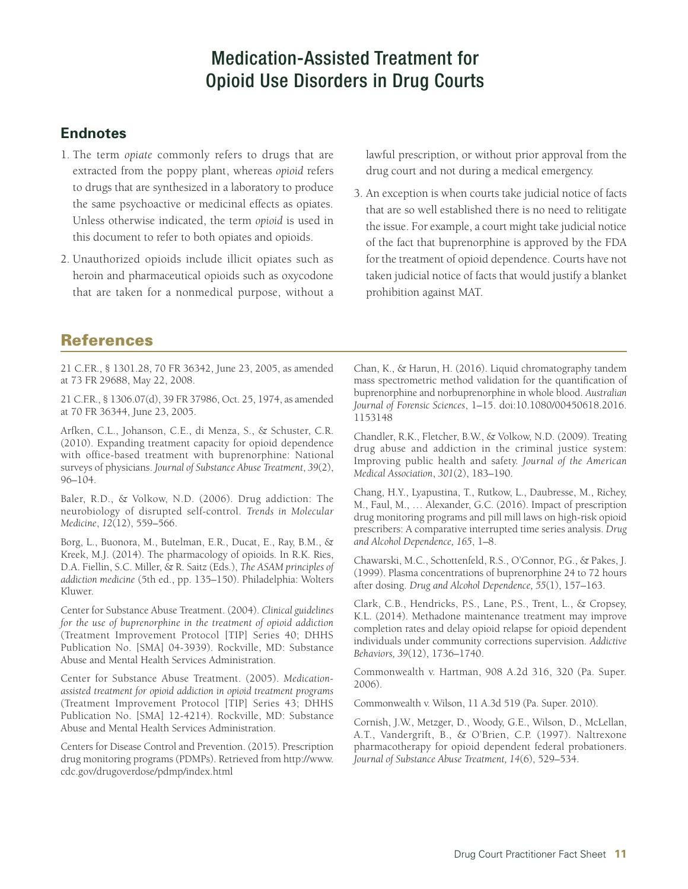#### **Endnotes**

- 1. The term *opiate* commonly refers to drugs that are extracted from the poppy plant, whereas *opioid* refers to drugs that are synthesized in a laboratory to produce the same psychoactive or medicinal effects as opiates. Unless otherwise indicated, the term *opioid* is used in this document to refer to both opiates and opioids.
- 2. Unauthorized opioids include illicit opiates such as heroin and pharmaceutical opioids such as oxycodone that are taken for a nonmedical purpose, without a

lawful prescription, or without prior approval from the drug court and not during a medical emergency.

3. An exception is when courts take judicial notice of facts that are so well established there is no need to relitigate the issue. For example, a court might take judicial notice of the fact that buprenorphine is approved by the FDA for the treatment of opioid dependence. Courts have not taken judicial notice of facts that would justify a blanket prohibition against MAT.

#### References

21 C.F.R., § 1301.28, 70 FR 36342, June 23, 2005, as amended at 73 FR 29688, May 22, 2008.

21 C.F.R., § 1306.07(d), 39 FR 37986, Oct. 25, 1974, as amended at 70 FR 36344, June 23, 2005.

Arfken, C.L., Johanson, C.E., di Menza, S., & Schuster, C.R. (2010). Expanding treatment capacity for opioid dependence with office-based treatment with buprenorphine: National surveys of physicians. *Journal of Substance Abuse Treatment*, *39*(2), 96–104.

Baler, R.D., & Volkow, N.D. (2006). Drug addiction: The neurobiology of disrupted self-control. *Trends in Molecular Medicine*, *12*(12), 559–566.

Borg, L., Buonora, M., Butelman, E.R., Ducat, E., Ray, B.M., & Kreek, M.J. (2014). The pharmacology of opioids. In R.K. Ries, D.A. Fiellin, S.C. Miller, & R. Saitz (Eds.), *The ASAM principles of addiction medicine* (5th ed., pp. 135–150). Philadelphia: Wolters Kluwer.

Center for Substance Abuse Treatment. (2004). *Clinical guidelines for the use of buprenorphine in the treatment of opioid addiction* (Treatment Improvement Protocol [TIP] Series 40; DHHS Publication No. [SMA] 04-3939). Rockville, MD: Substance Abuse and Mental Health Services Administration.

Center for Substance Abuse Treatment. (2005). *Medicationassisted treatment for opioid addiction in opioid treatment programs* (Treatment Improvement Protocol [TIP] Series 43; DHHS Publication No. [SMA] 12-4214). Rockville, MD: Substance Abuse and Mental Health Services Administration.

Centers for Disease Control and Prevention. (2015). Prescription drug monitoring programs (PDMPs). Retrieved from [http://www.](http://www.cdc.gov/drugoverdose/pdmp/index.html) [cdc.gov/drugoverdose/pdmp/index.html](http://www.cdc.gov/drugoverdose/pdmp/index.html)

Chan, K., & Harun, H. (2016). Liquid chromatography tandem mass spectrometric method validation for the quantification of buprenorphine and norbuprenorphine in whole blood. *Australian Journal of Forensic Sciences*, 1–15. doi:10.1080/00450618.2016. 1153148

Chandler, R.K., Fletcher, B.W., & Volkow, N.D. (2009). Treating drug abuse and addiction in the criminal justice system: Improving public health and safety. *Journal of the American Medical Association*, *301*(2), 183–190.

Chang, H.Y., Lyapustina, T., Rutkow, L., Daubresse, M., Richey, M., Faul, M., … Alexander, G.C. (2016). Impact of prescription drug monitoring programs and pill mill laws on high-risk opioid prescribers: A comparative interrupted time series analysis. *Drug and Alcohol Dependence, 165*, 1–8.

Chawarski, M.C., Schottenfeld, R.S., O'Connor, P.G., & Pakes, J. (1999). Plasma concentrations of buprenorphine 24 to 72 hours after dosing. *Drug and Alcohol Dependence, 55*(1), 157–163.

Clark, C.B., Hendricks, P.S., Lane, P.S., Trent, L., & Cropsey, K.L. (2014). Methadone maintenance treatment may improve completion rates and delay opioid relapse for opioid dependent individuals under community corrections supervision. *Addictive Behaviors, 39*(12), 1736–1740.

Commonwealth v. Hartman, 908 A.2d 316, 320 (Pa. Super. 2006).

Commonwealth v. Wilson, 11 A.3d 519 (Pa. Super. 2010).

Cornish, J.W., Metzger, D., Woody, G.E., Wilson, D., McLellan, A.T., Vandergrift, B., & O'Brien, C.P. (1997). Naltrexone pharmacotherapy for opioid dependent federal probationers. *Journal of Substance Abuse Treatment, 14*(6), 529–534.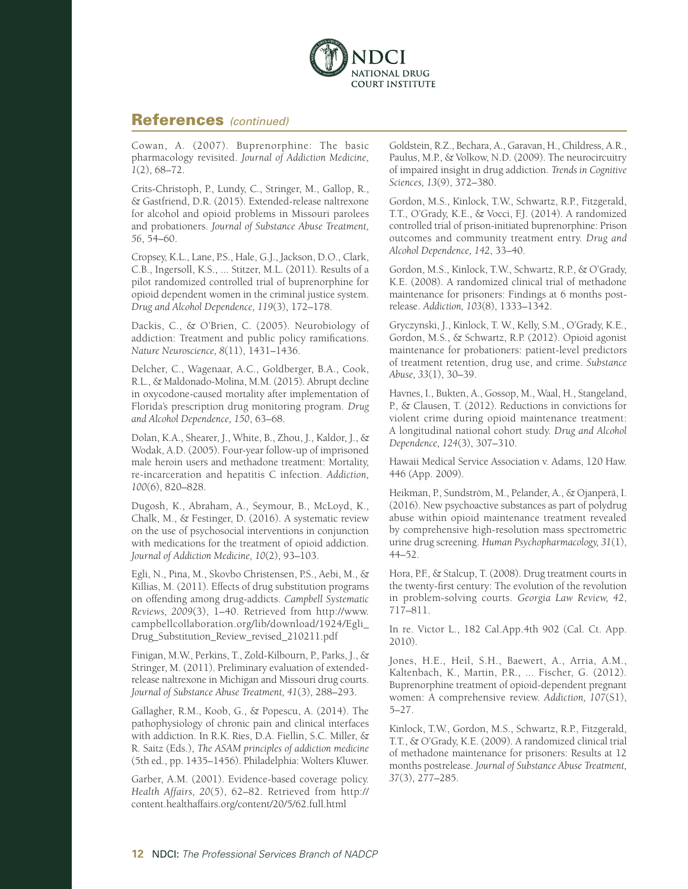

#### References *(continued)*

Cowan, A. (2007). Buprenorphine: The basic pharmacology revisited. *Journal of Addiction Medicine, 1*(2), 68–72.

Crits-Christoph, P., Lundy, C., Stringer, M., Gallop, R., & Gastfriend, D.R. (2015). Extended-release naltrexone for alcohol and opioid problems in Missouri parolees and probationers. *Journal of Substance Abuse Treatment, 56*, 54–60.

Cropsey, K.L., Lane, P.S., Hale, G.J., Jackson, D.O., Clark, C.B., Ingersoll, K.S., ... Stitzer, M.L. (2011). Results of a pilot randomized controlled trial of buprenorphine for opioid dependent women in the criminal justice system. *Drug and Alcohol Dependence, 119*(3), 172–178.

Dackis, C., & O'Brien, C. (2005). Neurobiology of addiction: Treatment and public policy ramifications. *Nature Neuroscience, 8*(11), 1431–1436.

Delcher, C., Wagenaar, A.C., Goldberger, B.A., Cook, R.L., & Maldonado-Molina, M.M. (2015). Abrupt decline in oxycodone-caused mortality after implementation of Florida's prescription drug monitoring program. *Drug and Alcohol Dependence, 150*, 63–68.

Dolan, K.A., Shearer, J., White, B., Zhou, J., Kaldor, J., & Wodak, A.D. (2005). Four-year follow-up of imprisoned male heroin users and methadone treatment: Mortality, re-incarceration and hepatitis C infection. *Addiction, 100*(6), 820–828.

Dugosh, K., Abraham, A., Seymour, B., McLoyd, K., Chalk, M., & Festinger, D. (2016). A systematic review on the use of psychosocial interventions in conjunction with medications for the treatment of opioid addiction. *Journal of Addiction Medicine, 10*(2), 93–103.

Egli, N., Pina, M., Skovbo Christensen, P.S., Aebi, M., & Killias, M. (2011). Effects of drug substitution programs on offending among drug-addicts. *Campbell Systematic Reviews, 2009*(3), 1–40. Retrieved from [http://www.](http://www.campbellcollaboration.org/lib/download/1924/Egli_Drug_Substitution_Review_revised_210211.pdf) [campbellcollaboration.org/lib/download/1924/Egli\\_](http://www.campbellcollaboration.org/lib/download/1924/Egli_Drug_Substitution_Review_revised_210211.pdf) [Drug\\_Substitution\\_Review\\_revised\\_210211.pdf](http://www.campbellcollaboration.org/lib/download/1924/Egli_Drug_Substitution_Review_revised_210211.pdf)

Finigan, M.W., Perkins, T., Zold-Kilbourn, P., Parks, J., & Stringer, M. (2011). Preliminary evaluation of extendedrelease naltrexone in Michigan and Missouri drug courts. *Journal of Substance Abuse Treatment, 41*(3), 288–293.

Gallagher, R.M., Koob, G., & Popescu, A. (2014). The pathophysiology of chronic pain and clinical interfaces with addiction. In R.K. Ries, D.A. Fiellin, S.C. Miller, & R. Saitz (Eds.), *The ASAM principles of addiction medicine* (5th ed., pp. 1435–1456). Philadelphia: Wolters Kluwer.

Garber, A.M. (2001). Evidence-based coverage policy. *Health Affairs, 20*(5), 62–82. Retrieved from http:// content.healthaffairs.org/content/20/5/62.full.html

Goldstein, R.Z., Bechara, A., Garavan, H., Childress, A.R., Paulus, M.P., & Volkow, N.D. (2009). The neurocircuitry of impaired insight in drug addiction. *Trends in Cognitive Sciences, 13*(9), 372–380.

Gordon, M.S., Kinlock, T.W., Schwartz, R.P., Fitzgerald, T.T., O'Grady, K.E., & Vocci, F.J. (2014). A randomized controlled trial of prison-initiated buprenorphine: Prison outcomes and community treatment entry. *Drug and Alcohol Dependence, 142*, 33–40.

Gordon, M.S., Kinlock, T.W., Schwartz, R.P., & O'Grady, K.E. (2008). A randomized clinical trial of methadone maintenance for prisoners: Findings at 6 months postrelease. *Addiction, 103*(8), 1333–1342.

Gryczynski, J., Kinlock, T. W., Kelly, S.M., O'Grady, K.E., Gordon, M.S., & Schwartz, R.P. (2012). Opioid agonist maintenance for probationers: patient-level predictors of treatment retention, drug use, and crime. *Substance Abuse, 33*(1), 30–39.

Havnes, I., Bukten, A., Gossop, M., Waal, H., Stangeland, P., & Clausen, T. (2012). Reductions in convictions for violent crime during opioid maintenance treatment: A longitudinal national cohort study. *Drug and Alcohol Dependence, 124*(3), 307–310.

Hawaii Medical Service Association v. Adams, 120 Haw. 446 (App. 2009).

Heikman, P., Sundström, M., Pelander, A., & Ojanperä, I. (2016). New psychoactive substances as part of polydrug abuse within opioid maintenance treatment revealed by comprehensive high-resolution mass spectrometric urine drug screening. *Human Psychopharmacology, 31*(1), 44–52.

Hora, P.F., & Stalcup, T. (2008). Drug treatment courts in the twenty-first century: The evolution of the revolution in problem-solving courts. *Georgia Law Review, 42*, 717–811.

In re. Victor L., 182 Cal.App.4th 902 (Cal. Ct. App. 2010).

Jones, H.E., Heil, S.H., Baewert, A., Arria, A.M., Kaltenbach, K., Martin, P.R., ... Fischer, G. (2012). Buprenorphine treatment of opioid-dependent pregnant women: A comprehensive review. *Addiction, 107*(S1), 5–27.

Kinlock, T.W., Gordon, M.S., Schwartz, R.P., Fitzgerald, T.T., & O'Grady, K.E. (2009). A randomized clinical trial of methadone maintenance for prisoners: Results at 12 months postrelease. *Journal of Substance Abuse Treatment, 37*(3), 277–285.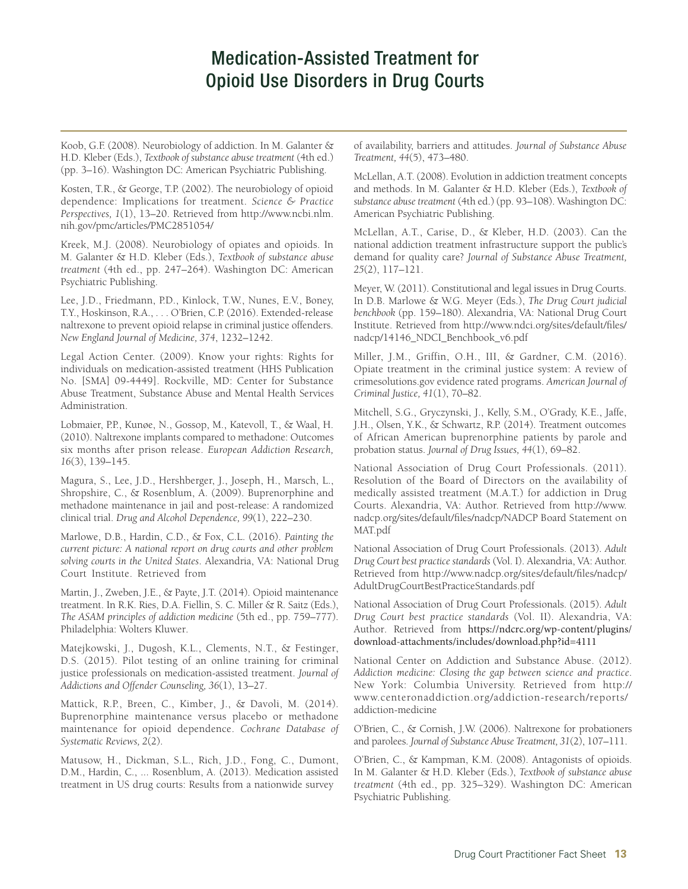Koob, G.F. (2008). Neurobiology of addiction. In M. Galanter & H.D. Kleber (Eds.), *Textbook of substance abuse treatment* (4th ed.) (pp. 3–16). Washington DC: American Psychiatric Publishing.

Kosten, T.R., & George, T.P. (2002). The neurobiology of opioid dependence: Implications for treatment. *Science & Practice Perspectives, 1*(1), 13–20. Retrieved from [http://www.ncbi.nlm.](http://www.ncbi.nlm.nih.gov/pmc/articles/PMC2851054/) [nih.gov/pmc/articles/PMC2851054/](http://www.ncbi.nlm.nih.gov/pmc/articles/PMC2851054/)

Kreek, M.J. (2008). Neurobiology of opiates and opioids. In M. Galanter & H.D. Kleber (Eds.), *Textbook of substance abuse treatment* (4th ed., pp. 247–264). Washington DC: American Psychiatric Publishing.

Lee, J.D., Friedmann, P.D., Kinlock, T.W., Nunes, E.V., Boney, T.Y., Hoskinson, R.A., . . . O'Brien, C.P. (2016). Extended-release naltrexone to prevent opioid relapse in criminal justice offenders. *New England Journal of Medicine, 374*, 1232–1242.

Legal Action Center. (2009). Know your rights: Rights for individuals on medication-assisted treatment (HHS Publication No. [SMA] 09-4449]. Rockville, MD: Center for Substance Abuse Treatment, Substance Abuse and Mental Health Services Administration.

Lobmaier, P.P., Kunøe, N., Gossop, M., Katevoll, T., & Waal, H. (2010). Naltrexone implants compared to methadone: Outcomes six months after prison release. *European Addiction Research, 16*(3), 139–145.

Magura, S., Lee, J.D., Hershberger, J., Joseph, H., Marsch, L., Shropshire, C., & Rosenblum, A. (2009). Buprenorphine and methadone maintenance in jail and post-release: A randomized clinical trial. *Drug and Alcohol Dependence, 99*(1), 222–230.

Marlowe, D.B., Hardin, C.D., & Fox, C.L. (2016). *Painting the current picture: A national report on drug courts and other problem solving courts in the United States*. Alexandria, VA: National Drug Court Institute. Retrieved from

Martin, J., Zweben, J.E., & Payte, J.T. (2014). Opioid maintenance treatment. In R.K. Ries, D.A. Fiellin, S. C. Miller & R. Saitz (Eds.), *The ASAM principles of addiction medicine* (5th ed., pp. 759–777). Philadelphia: Wolters Kluwer.

Matejkowski, J., Dugosh, K.L., Clements, N.T., & Festinger, D.S. (2015). Pilot testing of an online training for criminal justice professionals on medication-assisted treatment. *Journal of Addictions and Offender Counseling, 36*(1), 13–27.

Mattick, R.P., Breen, C., Kimber, J., & Davoli, M. (2014). Buprenorphine maintenance versus placebo or methadone maintenance for opioid dependence. *Cochrane Database of Systematic Reviews, 2*(2).

Matusow, H., Dickman, S.L., Rich, J.D., Fong, C., Dumont, D.M., Hardin, C., ... Rosenblum, A. (2013). Medication assisted treatment in US drug courts: Results from a nationwide survey

of availability, barriers and attitudes. *Journal of Substance Abuse Treatment, 44*(5), 473–480.

McLellan, A.T. (2008). Evolution in addiction treatment concepts and methods. In M. Galanter & H.D. Kleber (Eds.), *Textbook of substance abuse treatment* (4th ed.) (pp. 93–108). Washington DC: American Psychiatric Publishing.

McLellan, A.T., Carise, D., & Kleber, H.D. (2003). Can the national addiction treatment infrastructure support the public's demand for quality care? *Journal of Substance Abuse Treatment, 25*(2), 117–121.

Meyer, W. (2011). Constitutional and legal issues in Drug Courts. In D.B. Marlowe & W.G. Meyer (Eds.), *The Drug Court judicial benchbook* (pp. 159–180). Alexandria, VA: National Drug Court Institute. Retrieved from [http://www.ndci.org/sites/default/files/](http://www.ndci.org/sites/default/files/nadcp/14146_NDCI_Benchbook_v6.pdf) [nadcp/14146\\_NDCI\\_Benchbook\\_v6.pdf](http://www.ndci.org/sites/default/files/nadcp/14146_NDCI_Benchbook_v6.pdf)

Miller, J.M., Griffin, O.H., III, & Gardner, C.M. (2016). Opiate treatment in the criminal justice system: A review of crimesolutions.gov evidence rated programs. *American Journal of Criminal Justice, 41*(1), 70–82.

Mitchell, S.G., Gryczynski, J., Kelly, S.M., O'Grady, K.E., Jaffe, J.H., Olsen, Y.K., & Schwartz, R.P. (2014). Treatment outcomes of African American buprenorphine patients by parole and probation status. *Journal of Drug Issues, 44*(1), 69–82.

National Association of Drug Court Professionals. (2011). Resolution of the Board of Directors on the availability of medically assisted treatment (M.A.T.) for addiction in Drug Courts. Alexandria, VA: Author. Retrieved from [http://www.](http://www.nadcp.org/sites/default/files/nadcp/AdultDrugCourtBestPracticeStandards.pdf) [nadcp.org/sites/default/files/nadcp/NADCP Board Statement on](http://www.nadcp.org/sites/default/files/nadcp/AdultDrugCourtBestPracticeStandards.pdf) [MAT.pdf](http://www.nadcp.org/sites/default/files/nadcp/AdultDrugCourtBestPracticeStandards.pdf) 

National Association of Drug Court Professionals. (2013). *Adult Drug Court best practice standards* (Vol. I). Alexandria, VA: Author. Retrieved from [http://www.nadcp.org/sites/default/files/nadcp/](http://www.nadcp.org/sites/default/files/nadcp/AdultDrugCourtBestPracticeStandards.pdf) [AdultDrugCourtBestPracticeStandards.pdf](http://www.nadcp.org/sites/default/files/nadcp/AdultDrugCourtBestPracticeStandards.pdf)

National Association of Drug Court Professionals. (2015). *Adult Drug Court best practice standards* (Vol. II). Alexandria, VA: Author. Retrieved from https://ndcrc.org/wp-content/plugins/ [download-attachments/includes/download.php?id=4111](https://ndcrc.org/wp-content/plugins/download-attachments/includes/download.php?id=4111)

National Center on Addiction and Substance Abuse. (2012). *Addiction medicine: Closing the gap between science and practice*. New York: Columbia University. Retrieved from [http://](http://www.centeronaddiction.org/addiction-research/reports/addiction-medicine) [www.centeronaddiction.org/addiction-research/reports/](http://www.centeronaddiction.org/addiction-research/reports/addiction-medicine) [addiction-medicine](http://www.centeronaddiction.org/addiction-research/reports/addiction-medicine) 

O'Brien, C., & Cornish, J.W. (2006). Naltrexone for probationers and parolees. *Journal of Substance Abuse Treatment, 31*(2), 107–111.

O'Brien, C., & Kampman, K.M. (2008). Antagonists of opioids. In M. Galanter & H.D. Kleber (Eds.), *Textbook of substance abuse treatment* (4th ed., pp. 325–329). Washington DC: American Psychiatric Publishing.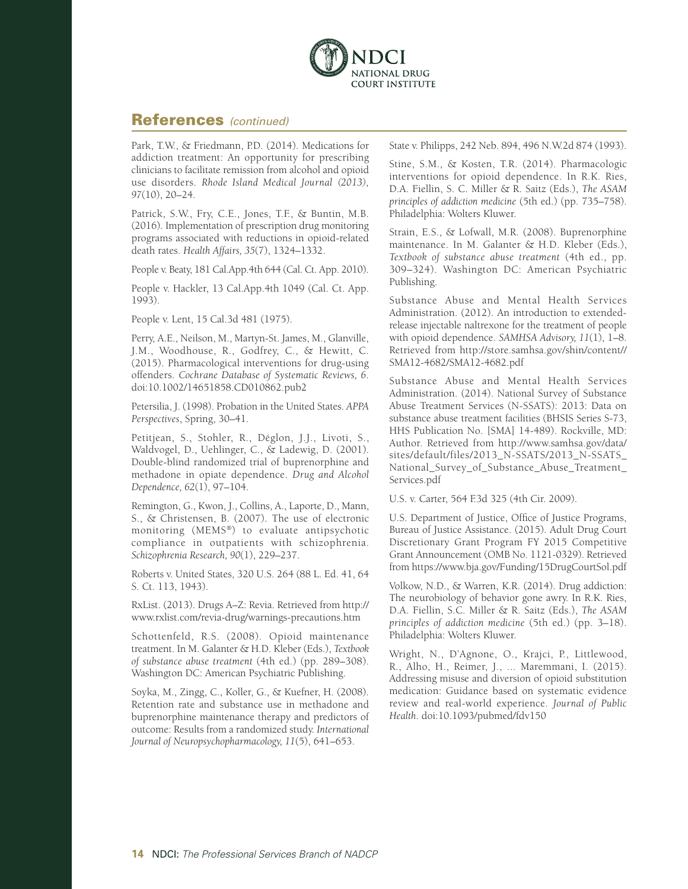

#### References *(continued)*

Park, T.W., & Friedmann, P.D. (2014). Medications for addiction treatment: An opportunity for prescribing clinicians to facilitate remission from alcohol and opioid use disorders. *Rhode Island Medical Journal (2013), 97*(10), 20–24.

Patrick, S.W., Fry, C.E., Jones, T.F., & Buntin, M.B. (2016). Implementation of prescription drug monitoring programs associated with reductions in opioid-related death rates. *Health Affairs, 35*(7), 1324–1332.

People v. Beaty, 181 Cal.App.4th 644 (Cal. Ct. App. 2010).

People v. Hackler, 13 Cal.App.4th 1049 (Cal. Ct. App. 1993).

People v. Lent, 15 Cal.3d 481 (1975).

Perry, A.E., Neilson, M., Martyn-St. James, M., Glanville, J.M., Woodhouse, R., Godfrey, C., & Hewitt, C. (2015). Pharmacological interventions for drug-using offenders. *Cochrane Database of Systematic Reviews, 6*. doi:10.1002/14651858.CD010862.pub2

Petersilia, J. (1998). Probation in the United States. *APPA Perspectives*, Spring, 30–41.

Petitjean, S., Stohler, R., Déglon, J.J., Livoti, S., Waldvogel, D., Uehlinger, C., & Ladewig, D. (2001). Double-blind randomized trial of buprenorphine and methadone in opiate dependence. *Drug and Alcohol Dependence, 62*(1), 97–104.

Remington, G., Kwon, J., Collins, A., Laporte, D., Mann, S., & Christensen, B. (2007). The use of electronic monitoring (MEMS®) to evaluate antipsychotic compliance in outpatients with schizophrenia. *Schizophrenia Research, 90*(1), 229–237.

Roberts v. United States, 320 U.S. 264 (88 L. Ed. 41, 64 S. Ct. 113, 1943).

RxList. (2013). Drugs A–Z: Revia. Retrieved from [http://](http://www.rxlist.com/revia-drug/warnings-precautions.htm) [www.rxlist.com/revia-drug/warnings-precautions.htm](http://www.rxlist.com/revia-drug/warnings-precautions.htm)

Schottenfeld, R.S. (2008). Opioid maintenance treatment. In M. Galanter & H.D. Kleber (Eds.), *Textbook of substance abuse treatment* (4th ed.) (pp. 289–308). Washington DC: American Psychiatric Publishing.

Soyka, M., Zingg, C., Koller, G., & Kuefner, H. (2008). Retention rate and substance use in methadone and buprenorphine maintenance therapy and predictors of outcome: Results from a randomized study. *International Journal of Neuropsychopharmacology, 11*(5), 641–653.

State v. Philipps, 242 Neb. 894, 496 N.W.2d 874 (1993).

Stine, S.M., & Kosten, T.R. (2014). Pharmacologic interventions for opioid dependence. In R.K. Ries, D.A. Fiellin, S. C. Miller & R. Saitz (Eds.), *The ASAM principles of addiction medicine* (5th ed.) (pp. 735–758). Philadelphia: Wolters Kluwer.

Strain, E.S., & Lofwall, M.R. (2008). Buprenorphine maintenance. In M. Galanter & H.D. Kleber (Eds.), *Textbook of substance abuse treatment* (4th ed., pp. 309–324). Washington DC: American Psychiatric Publishing.

Substance Abuse and Mental Health Services Administration. (2012). An introduction to extendedrelease injectable naltrexone for the treatment of people with opioid dependence. *SAMHSA Advisory, 11*(1), 1–8. Retrieved from [http://store.samhsa.gov/shin/content//](http://store.samhsa.gov/shin/content//SMA12-4682/SMA12-4682.pdf) [SMA12-4682/SMA12-4682.pdf](http://store.samhsa.gov/shin/content//SMA12-4682/SMA12-4682.pdf)

Substance Abuse and Mental Health Services Administration. (2014). National Survey of Substance Abuse Treatment Services (N-SSATS): 2013: Data on substance abuse treatment facilities (BHSIS Series S-73, HHS Publication No. [SMA] 14-489). Rockville, MD: Author. Retrieved from [http://www.samhsa.gov/data/](http://www.samhsa.gov/data/sites/default/files/2013_N-SSATS/2013_N-SSATS_National_Survey_of_Substance_Abuse_Treatment_Services.pdf) [sites/default/files/2013\\_N-SSATS/2013\\_N-SSATS\\_](http://www.samhsa.gov/data/sites/default/files/2013_N-SSATS/2013_N-SSATS_National_Survey_of_Substance_Abuse_Treatment_Services.pdf) [National\\_Survey\\_of\\_Substance\\_Abuse\\_Treatment\\_](http://www.samhsa.gov/data/sites/default/files/2013_N-SSATS/2013_N-SSATS_National_Survey_of_Substance_Abuse_Treatment_Services.pdf) [Services.pdf](http://www.samhsa.gov/data/sites/default/files/2013_N-SSATS/2013_N-SSATS_National_Survey_of_Substance_Abuse_Treatment_Services.pdf)

U.S. v. Carter, 564 F.3d 325 (4th Cir. 2009).

U.S. Department of Justice, Office of Justice Programs, Bureau of Justice Assistance. (2015). Adult Drug Court Discretionary Grant Program FY 2015 Competitive Grant Announcement (OMB No. 1121-0329). Retrieved from<https://www.bja.gov/Funding/15DrugCourtSol.pdf>

Volkow, N.D., & Warren, K.R. (2014). Drug addiction: The neurobiology of behavior gone awry. In R.K. Ries, D.A. Fiellin, S.C. Miller & R. Saitz (Eds.), *The ASAM principles of addiction medicine* (5th ed.) (pp. 3–18). Philadelphia: Wolters Kluwer.

Wright, N., D'Agnone, O., Krajci, P., Littlewood, R., Alho, H., Reimer, J., ... Maremmani, I. (2015). Addressing misuse and diversion of opioid substitution medication: Guidance based on systematic evidence review and real-world experience. *Journal of Public Health*. doi:10.1093/pubmed/fdv150